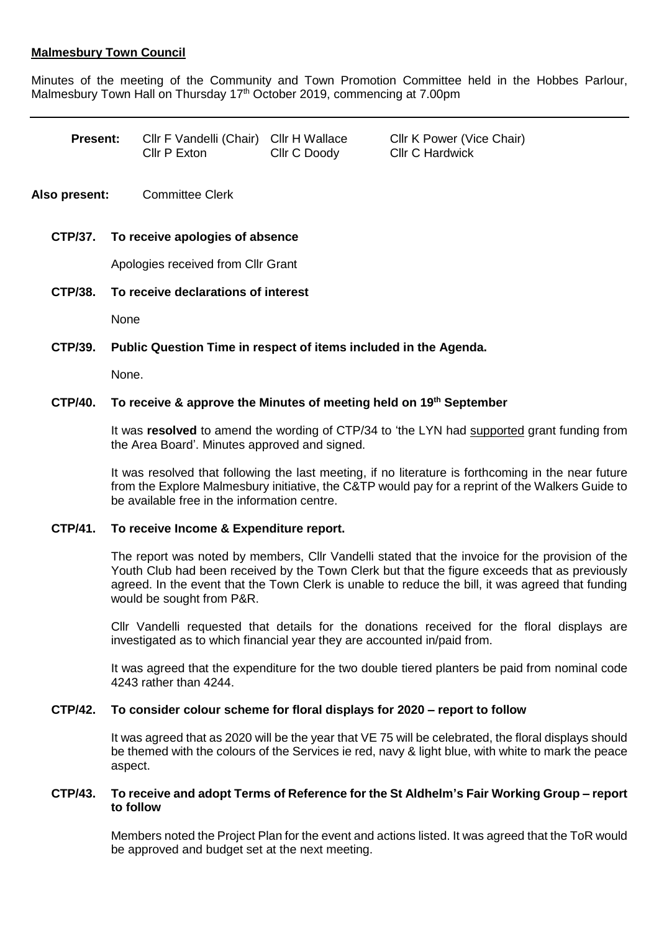## **Malmesbury Town Council**

Minutes of the meeting of the Community and Town Promotion Committee held in the Hobbes Parlour, Malmesbury Town Hall on Thursday 17<sup>th</sup> October 2019, commencing at 7.00pm

| <b>Present:</b>                            | Cllr F Vandelli (Chair) Cllr H Wallace<br>Cllr P Exton | Cllr C Doody | Cllr K Power (Vice Chair)<br><b>Cllr C Hardwick</b> |
|--------------------------------------------|--------------------------------------------------------|--------------|-----------------------------------------------------|
| Also present:                              | <b>Committee Clerk</b>                                 |              |                                                     |
| To receive apologies of absence<br>CTP/37. |                                                        |              |                                                     |

Apologies received from Cllr Grant

**CTP/38. To receive declarations of interest**

None

### **CTP/39. Public Question Time in respect of items included in the Agenda.**

None.

### **CTP/40. To receive & approve the Minutes of meeting held on 19th September**

It was **resolved** to amend the wording of CTP/34 to 'the LYN had supported grant funding from the Area Board'. Minutes approved and signed.

It was resolved that following the last meeting, if no literature is forthcoming in the near future from the Explore Malmesbury initiative, the C&TP would pay for a reprint of the Walkers Guide to be available free in the information centre.

# **CTP/41. To receive Income & Expenditure report.**

The report was noted by members, Cllr Vandelli stated that the invoice for the provision of the Youth Club had been received by the Town Clerk but that the figure exceeds that as previously agreed. In the event that the Town Clerk is unable to reduce the bill, it was agreed that funding would be sought from P&R.

Cllr Vandelli requested that details for the donations received for the floral displays are investigated as to which financial year they are accounted in/paid from.

It was agreed that the expenditure for the two double tiered planters be paid from nominal code 4243 rather than 4244.

## **CTP/42. To consider colour scheme for floral displays for 2020 – report to follow**

It was agreed that as 2020 will be the year that VE 75 will be celebrated, the floral displays should be themed with the colours of the Services ie red, navy & light blue, with white to mark the peace aspect.

#### **CTP/43. To receive and adopt Terms of Reference for the St Aldhelm's Fair Working Group – report to follow**

Members noted the Project Plan for the event and actions listed. It was agreed that the ToR would be approved and budget set at the next meeting.